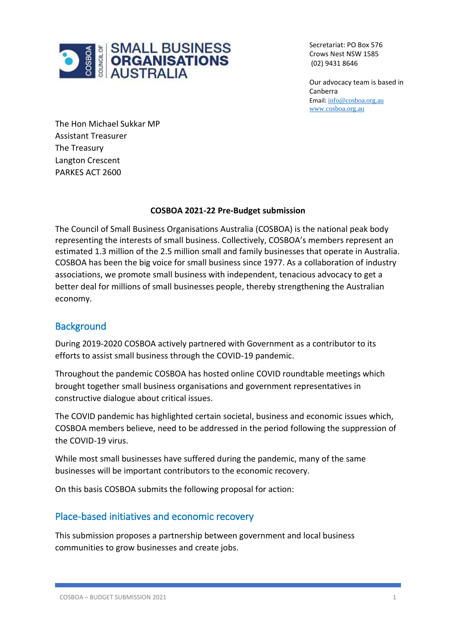

Secretariat: PO Box 576 Crows Nest NSW 1585 (02) 9431 8646

Our advocacy team is based in Canberra Email: [info@cosboa.org.au](mailto:info@cosboa.org.au) [www.cosboa.org.au](http://www.cosboa.org.au/)

The Hon Michael Sukkar MP Assistant Treasurer The Treasury Langton Crescent PARKES ACT 2600

#### **COSBOA 2021-22 Pre-Budget submission**

The Council of Small Business Organisations Australia (COSBOA) is the national peak body representing the interests of small business. Collectively, COSBOA's members represent an estimated 1.3 million of the 2.5 million small and family businesses that operate in Australia. COSBOA has been the big voice for small business since 1977. As a collaboration of industry associations, we promote small business with independent, tenacious advocacy to get a better deal for millions of small businesses people, thereby strengthening the Australian economy.

## **Background**

During 2019-2020 COSBOA actively partnered with Government as a contributor to its efforts to assist small business through the COVID-19 pandemic.

Throughout the pandemic COSBOA has hosted online COVID roundtable meetings which brought together small business organisations and government representatives in constructive dialogue about critical issues.

The COVID pandemic has highlighted certain societal, business and economic issues which, COSBOA members believe, need to be addressed in the period following the suppression of the COVID-19 virus.

While most small businesses have suffered during the pandemic, many of the same businesses will be important contributors to the economic recovery.

On this basis COSBOA submits the following proposal for action:

### Place-based initiatives and economic recovery

This submission proposes a partnership between government and local business communities to grow businesses and create jobs.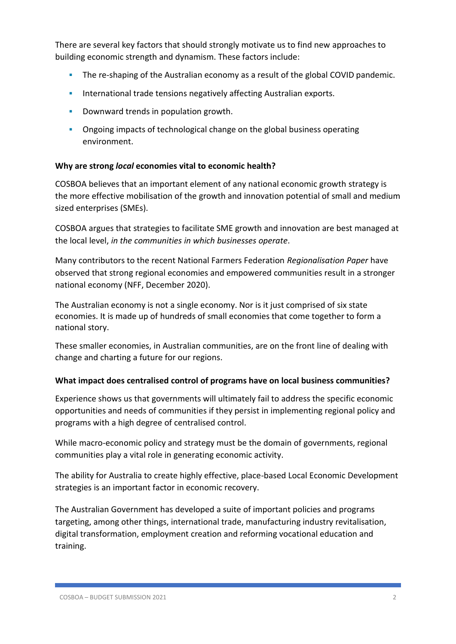There are several key factors that should strongly motivate us to find new approaches to building economic strength and dynamism. These factors include:

- **The re-shaping of the Australian economy as a result of the global COVID pandemic.**
- **International trade tensions negatively affecting Australian exports.**
- Downward trends in population growth.
- **Ongoing impacts of technological change on the global business operating** environment.

#### **Why are strong** *local* **economies vital to economic health?**

COSBOA believes that an important element of any national economic growth strategy is the more effective mobilisation of the growth and innovation potential of small and medium sized enterprises (SMEs).

COSBOA argues that strategies to facilitate SME growth and innovation are best managed at the local level, *in the communities in which businesses operate*.

Many contributors to the recent National Farmers Federation *Regionalisation Paper* have observed that strong regional economies and empowered communities result in a stronger national economy (NFF, December 2020).

The Australian economy is not a single economy. Nor is it just comprised of six state economies. It is made up of hundreds of small economies that come together to form a national story.

These smaller economies, in Australian communities, are on the front line of dealing with change and charting a future for our regions.

### **What impact does centralised control of programs have on local business communities?**

Experience shows us that governments will ultimately fail to address the specific economic opportunities and needs of communities if they persist in implementing regional policy and programs with a high degree of centralised control.

While macro-economic policy and strategy must be the domain of governments, regional communities play a vital role in generating economic activity.

The ability for Australia to create highly effective, place-based Local Economic Development strategies is an important factor in economic recovery.

The Australian Government has developed a suite of important policies and programs targeting, among other things, international trade, manufacturing industry revitalisation, digital transformation, employment creation and reforming vocational education and training.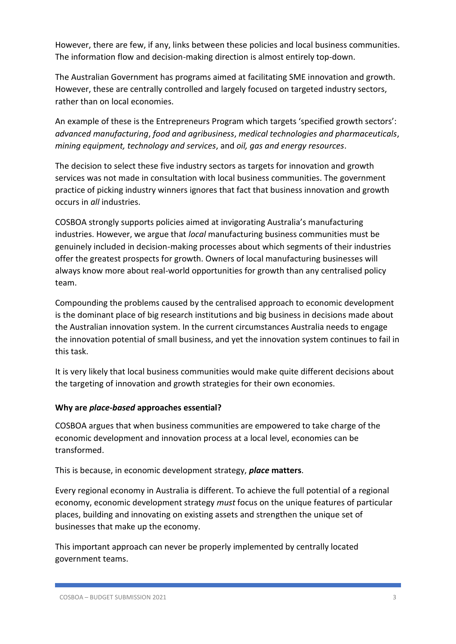However, there are few, if any, links between these policies and local business communities. The information flow and decision-making direction is almost entirely top-down.

The Australian Government has programs aimed at facilitating SME innovation and growth. However, these are centrally controlled and largely focused on targeted industry sectors, rather than on local economies.

An example of these is the Entrepreneurs Program which targets 'specified growth sectors': *advanced manufacturing*, *food and agribusiness*, *medical technologies and pharmaceuticals*, *mining equipment, technology and services*, and *oil, gas and energy resources*.

The decision to select these five industry sectors as targets for innovation and growth services was not made in consultation with local business communities. The government practice of picking industry winners ignores that fact that business innovation and growth occurs in *all* industries.

COSBOA strongly supports policies aimed at invigorating Australia's manufacturing industries. However, we argue that *local* manufacturing business communities must be genuinely included in decision-making processes about which segments of their industries offer the greatest prospects for growth. Owners of local manufacturing businesses will always know more about real-world opportunities for growth than any centralised policy team.

Compounding the problems caused by the centralised approach to economic development is the dominant place of big research institutions and big business in decisions made about the Australian innovation system. In the current circumstances Australia needs to engage the innovation potential of small business, and yet the innovation system continues to fail in this task.

It is very likely that local business communities would make quite different decisions about the targeting of innovation and growth strategies for their own economies.

#### **Why are** *place-based* **approaches essential?**

COSBOA argues that when business communities are empowered to take charge of the economic development and innovation process at a local level, economies can be transformed.

This is because, in economic development strategy, *place* **matters**.

Every regional economy in Australia is different. To achieve the full potential of a regional economy, economic development strategy *must* focus on the unique features of particular places, building and innovating on existing assets and strengthen the unique set of businesses that make up the economy.

This important approach can never be properly implemented by centrally located government teams.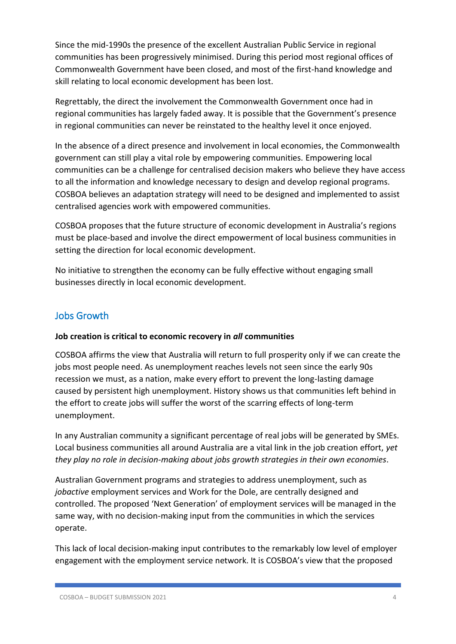Since the mid-1990s the presence of the excellent Australian Public Service in regional communities has been progressively minimised. During this period most regional offices of Commonwealth Government have been closed, and most of the first-hand knowledge and skill relating to local economic development has been lost.

Regrettably, the direct the involvement the Commonwealth Government once had in regional communities has largely faded away. It is possible that the Government's presence in regional communities can never be reinstated to the healthy level it once enjoyed.

In the absence of a direct presence and involvement in local economies, the Commonwealth government can still play a vital role by empowering communities. Empowering local communities can be a challenge for centralised decision makers who believe they have access to all the information and knowledge necessary to design and develop regional programs. COSBOA believes an adaptation strategy will need to be designed and implemented to assist centralised agencies work with empowered communities.

COSBOA proposes that the future structure of economic development in Australia's regions must be place-based and involve the direct empowerment of local business communities in setting the direction for local economic development.

No initiative to strengthen the economy can be fully effective without engaging small businesses directly in local economic development.

## Jobs Growth

#### **Job creation is critical to economic recovery in** *all* **communities**

COSBOA affirms the view that Australia will return to full prosperity only if we can create the jobs most people need. As unemployment reaches levels not seen since the early 90s recession we must, as a nation, make every effort to prevent the long-lasting damage caused by persistent high unemployment. History shows us that communities left behind in the effort to create jobs will suffer the worst of the scarring effects of long-term unemployment.

In any Australian community a significant percentage of real jobs will be generated by SMEs. Local business communities all around Australia are a vital link in the job creation effort, *yet they play no role in decision-making about jobs growth strategies in their own economies*.

Australian Government programs and strategies to address unemployment, such as *jobactive* employment services and Work for the Dole, are centrally designed and controlled. The proposed 'Next Generation' of employment services will be managed in the same way, with no decision-making input from the communities in which the services operate.

This lack of local decision-making input contributes to the remarkably low level of employer engagement with the employment service network. It is COSBOA's view that the proposed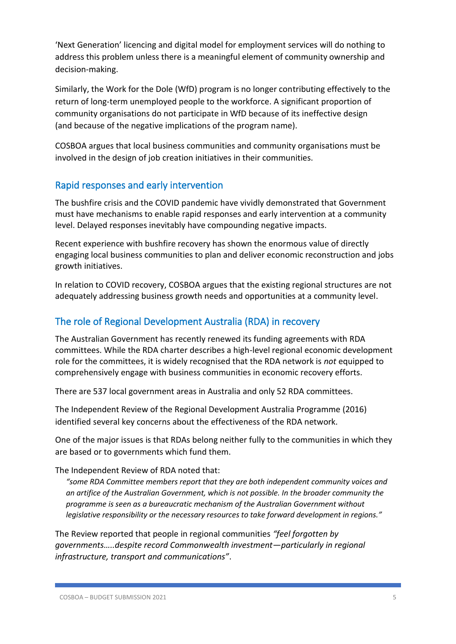'Next Generation' licencing and digital model for employment services will do nothing to address this problem unless there is a meaningful element of community ownership and decision-making.

Similarly, the Work for the Dole (WfD) program is no longer contributing effectively to the return of long-term unemployed people to the workforce. A significant proportion of community organisations do not participate in WfD because of its ineffective design (and because of the negative implications of the program name).

COSBOA argues that local business communities and community organisations must be involved in the design of job creation initiatives in their communities.

### Rapid responses and early intervention

The bushfire crisis and the COVID pandemic have vividly demonstrated that Government must have mechanisms to enable rapid responses and early intervention at a community level. Delayed responses inevitably have compounding negative impacts.

Recent experience with bushfire recovery has shown the enormous value of directly engaging local business communities to plan and deliver economic reconstruction and jobs growth initiatives.

In relation to COVID recovery, COSBOA argues that the existing regional structures are not adequately addressing business growth needs and opportunities at a community level.

## The role of Regional Development Australia (RDA) in recovery

The Australian Government has recently renewed its funding agreements with RDA committees. While the RDA charter describes a high-level regional economic development role for the committees, it is widely recognised that the RDA network is *not* equipped to comprehensively engage with business communities in economic recovery efforts.

There are 537 local government areas in Australia and only 52 RDA committees.

The Independent Review of the Regional Development Australia Programme (2016) identified several key concerns about the effectiveness of the RDA network.

One of the major issues is that RDAs belong neither fully to the communities in which they are based or to governments which fund them.

The Independent Review of RDA noted that:

*"some RDA Committee members report that they are both independent community voices and an artifice of the Australian Government, which is not possible. In the broader community the programme is seen as a bureaucratic mechanism of the Australian Government without legislative responsibility or the necessary resources to take forward development in regions."*

The Review reported that people in regional communities *"feel forgotten by governments…..despite record Commonwealth investment—particularly in regional infrastructure, transport and communications"*.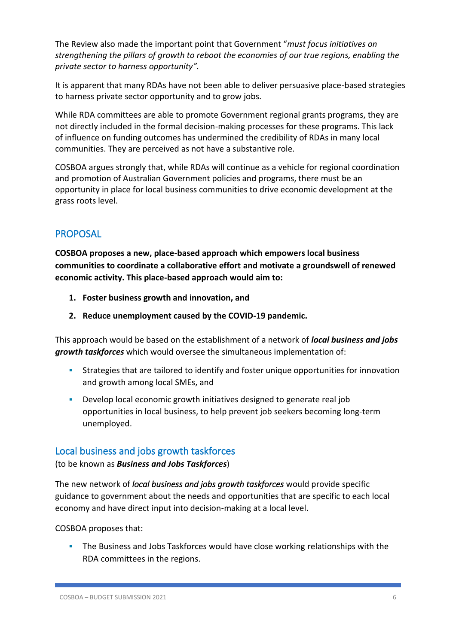The Review also made the important point that Government "*must focus initiatives on strengthening the pillars of growth to reboot the economies of our true regions, enabling the private sector to harness opportunity".*

It is apparent that many RDAs have not been able to deliver persuasive place-based strategies to harness private sector opportunity and to grow jobs.

While RDA committees are able to promote Government regional grants programs, they are not directly included in the formal decision-making processes for these programs. This lack of influence on funding outcomes has undermined the credibility of RDAs in many local communities. They are perceived as not have a substantive role.

COSBOA argues strongly that, while RDAs will continue as a vehicle for regional coordination and promotion of Australian Government policies and programs, there must be an opportunity in place for local business communities to drive economic development at the grass roots level.

### PROPOSAL

**COSBOA proposes a new, place-based approach which empowers local business communities to coordinate a collaborative effort and motivate a groundswell of renewed economic activity. This place-based approach would aim to:**

- **1. Foster business growth and innovation, and**
- **2. Reduce unemployment caused by the COVID-19 pandemic.**

This approach would be based on the establishment of a network of *local business and jobs growth taskforces* which would oversee the simultaneous implementation of:

- **EXECT** Strategies that are tailored to identify and foster unique opportunities for innovation and growth among local SMEs, and
- Develop local economic growth initiatives designed to generate real job opportunities in local business, to help prevent job seekers becoming long-term unemployed.

### Local business and jobs growth taskforces

(to be known as *Business and Jobs Taskforces*)

The new network of *local business and jobs growth taskforces* would provide specific guidance to government about the needs and opportunities that are specific to each local economy and have direct input into decision-making at a local level.

COSBOA proposes that:

**• The Business and Jobs Taskforces would have close working relationships with the** RDA committees in the regions.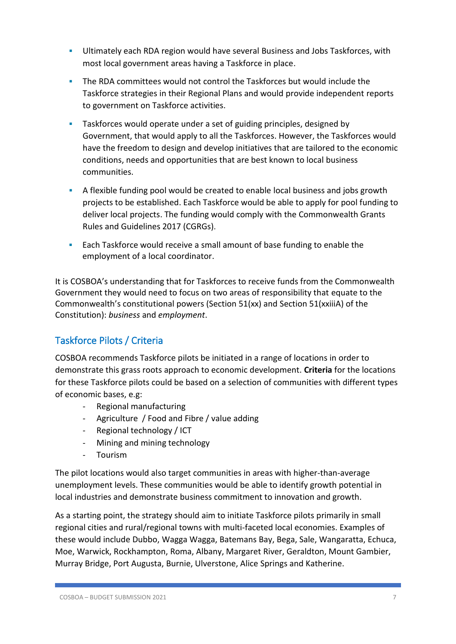- Ultimately each RDA region would have several Business and Jobs Taskforces, with most local government areas having a Taskforce in place.
- **•** The RDA committees would not control the Taskforces but would include the Taskforce strategies in their Regional Plans and would provide independent reports to government on Taskforce activities.
- **EXECT** Taskforces would operate under a set of guiding principles, designed by Government, that would apply to all the Taskforces. However, the Taskforces would have the freedom to design and develop initiatives that are tailored to the economic conditions, needs and opportunities that are best known to local business communities.
- A flexible funding pool would be created to enable local business and jobs growth projects to be established. Each Taskforce would be able to apply for pool funding to deliver local projects. The funding would comply with the Commonwealth Grants Rules and Guidelines 2017 (CGRGs).
- **Each Taskforce would receive a small amount of base funding to enable the** employment of a local coordinator.

It is COSBOA's understanding that for Taskforces to receive funds from the Commonwealth Government they would need to focus on two areas of responsibility that equate to the Commonwealth's constitutional powers (Section 51(xx) and Section 51(xxiiiA) of the Constitution): *business* and *employment*.

# Taskforce Pilots / Criteria

COSBOA recommends Taskforce pilots be initiated in a range of locations in order to demonstrate this grass roots approach to economic development. **Criteria** for the locations for these Taskforce pilots could be based on a selection of communities with different types of economic bases, e.g:

- Regional manufacturing
- Agriculture / Food and Fibre / value adding
- Regional technology / ICT
- Mining and mining technology
- Tourism

The pilot locations would also target communities in areas with higher-than-average unemployment levels. These communities would be able to identify growth potential in local industries and demonstrate business commitment to innovation and growth.

As a starting point, the strategy should aim to initiate Taskforce pilots primarily in small regional cities and rural/regional towns with multi-faceted local economies. Examples of these would include Dubbo, Wagga Wagga, Batemans Bay, Bega, Sale, Wangaratta, Echuca, Moe, Warwick, Rockhampton, Roma, Albany, Margaret River, Geraldton, Mount Gambier, Murray Bridge, Port Augusta, Burnie, Ulverstone, Alice Springs and Katherine.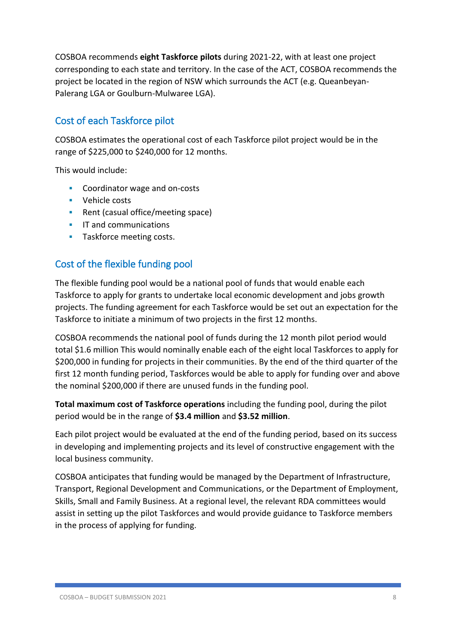COSBOA recommends **eight Taskforce pilots** during 2021-22, with at least one project corresponding to each state and territory. In the case of the ACT, COSBOA recommends the project be located in the region of NSW which surrounds the ACT (e.g. Queanbeyan-Palerang LGA or Goulburn-Mulwaree LGA).

# Cost of each Taskforce pilot

COSBOA estimates the operational cost of each Taskforce pilot project would be in the range of \$225,000 to \$240,000 for 12 months.

This would include:

- Coordinator wage and on-costs
- Vehicle costs
- Rent (casual office/meeting space)
- **•** IT and communications
- **■** Taskforce meeting costs.

## Cost of the flexible funding pool

The flexible funding pool would be a national pool of funds that would enable each Taskforce to apply for grants to undertake local economic development and jobs growth projects. The funding agreement for each Taskforce would be set out an expectation for the Taskforce to initiate a minimum of two projects in the first 12 months.

COSBOA recommends the national pool of funds during the 12 month pilot period would total \$1.6 million This would nominally enable each of the eight local Taskforces to apply for \$200,000 in funding for projects in their communities. By the end of the third quarter of the first 12 month funding period, Taskforces would be able to apply for funding over and above the nominal \$200,000 if there are unused funds in the funding pool.

**Total maximum cost of Taskforce operations** including the funding pool, during the pilot period would be in the range of **\$3.4 million** and **\$3.52 million**.

Each pilot project would be evaluated at the end of the funding period, based on its success in developing and implementing projects and its level of constructive engagement with the local business community.

COSBOA anticipates that funding would be managed by the Department of Infrastructure, Transport, Regional Development and Communications, or the Department of Employment, Skills, Small and Family Business. At a regional level, the relevant RDA committees would assist in setting up the pilot Taskforces and would provide guidance to Taskforce members in the process of applying for funding.